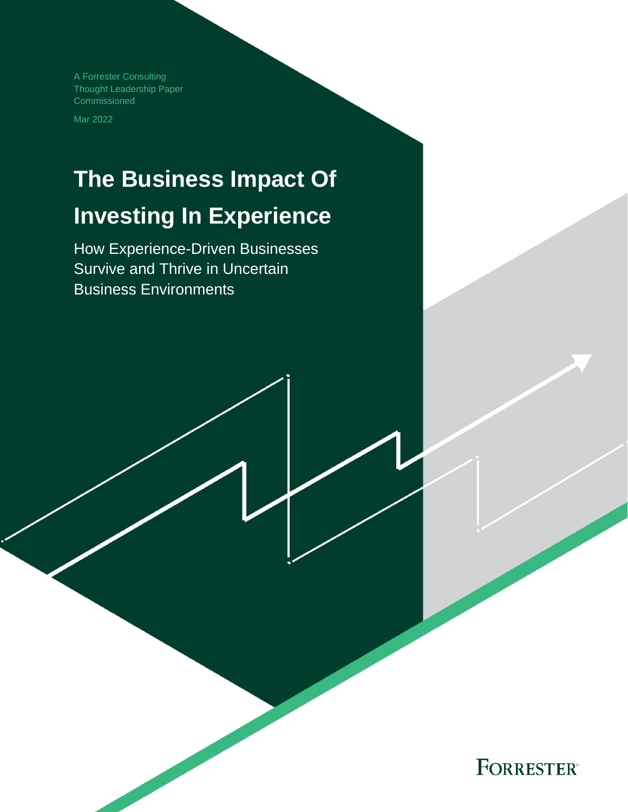A Forrester Consulting Thought Leadership Paper Commissioned

Mar 2022

# **The Business Impact Of Investing In Experience**

How Experience-Driven Businesses Survive and Thrive in Uncertain Business Environments

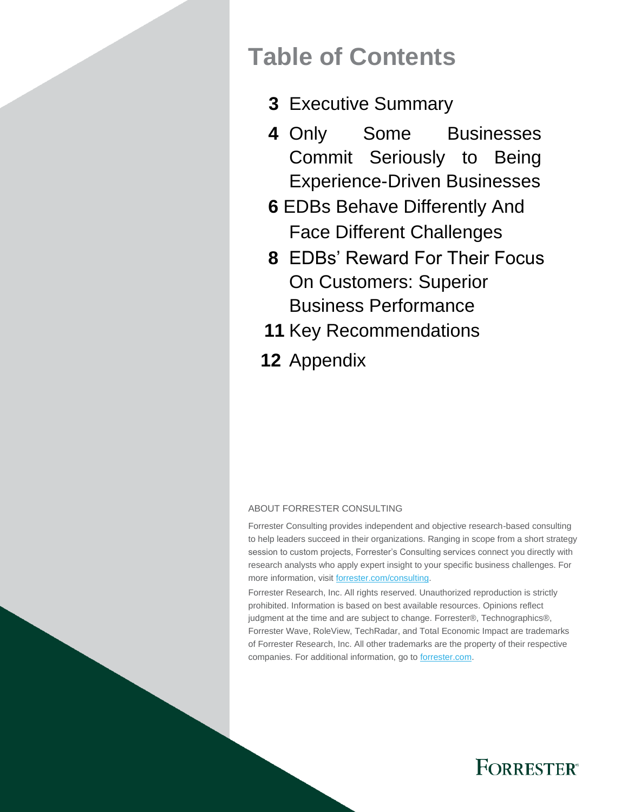## **Table of Contents**

- **3** Executive Summary
- **4** Only Some Businesses Commit Seriously to Being Experience-Driven Businesses
- **6** EDBs Behave Differently And Face Different Challenges
- **8** EDBs' Reward For Their Focus On Customers: Superior Business Performance
- **11** Key Recommendations
- **12** Appendix

### ABOUT FORRESTER CONSULTING

Forrester Consulting provides independent and objective research-based consulting to help leaders succeed in their organizations. Ranging in scope from a short strategy session to custom projects, Forrester's Consulting services connect you directly with research analysts who apply expert insight to your specific business challenges. For more information, visit forrester.com/consulting.

Forrester Research, Inc. All rights reserved. Unauthorized reproduction is strictly prohibited. Information is based on best available resources. Opinions reflect judgment at the time and are subject to change. Forrester®, Technographics®, Forrester Wave, RoleView, TechRadar, and Total Economic Impact are trademarks of Forrester Research, Inc. All other trademarks are the property of their respective companies. For additional information, go to forrester.com.

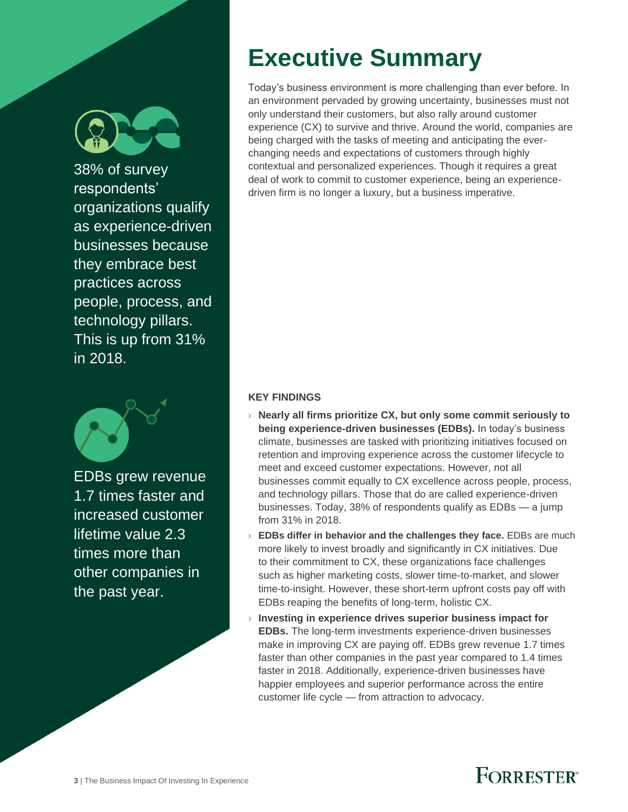

38% of survey respondents' organizations qualify as experience-driven businesses because they embrace best practices across people, process, and technology pillars. This is up from 31% in 2018.



EDBs grew revenue 1.7 times faster and increased customer lifetime value 2.3 times more than other companies in the past year.

# **Executive Summary**

Today's business environment is more challenging than ever before. In an environment pervaded by growing uncertainty, businesses must not only understand their customers, but also rally around customer experience (CX) to survive and thrive. Around the world, companies are being charged with the tasks of meeting and anticipating the everchanging needs and expectations of customers through highly contextual and personalized experiences. Though it requires a great deal of work to commit to customer experience, being an experiencedriven firm is no longer a luxury, but a business imperative.

### **KEY FINDINGS**

- › **Nearly all firms prioritize CX, but only some commit seriously to being experience-driven businesses (EDBs).** In today's business climate, businesses are tasked with prioritizing initiatives focused on retention and improving experience across the customer lifecycle to meet and exceed customer expectations. However, not all businesses commit equally to CX excellence across people, process, and technology pillars. Those that do are called experience-driven businesses. Today, 38% of respondents qualify as EDBs — a jump from 31% in 2018.
- › **EDBs differ in behavior and the challenges they face.** EDBs are much more likely to invest broadly and significantly in CX initiatives. Due to their commitment to CX, these organizations face challenges such as higher marketing costs, slower time-to-market, and slower time-to-insight. However, these short-term upfront costs pay off with EDBs reaping the benefits of long-term, holistic CX.
- › **Investing in experience drives superior business impact for EDBs.** The long-term investments experience-driven businesses make in improving CX are paying off. EDBs grew revenue 1.7 times faster than other companies in the past year compared to 1.4 times faster in 2018. Additionally, experience-driven businesses have happier employees and superior performance across the entire customer life cycle — from attraction to advocacy.

![](_page_2_Picture_10.jpeg)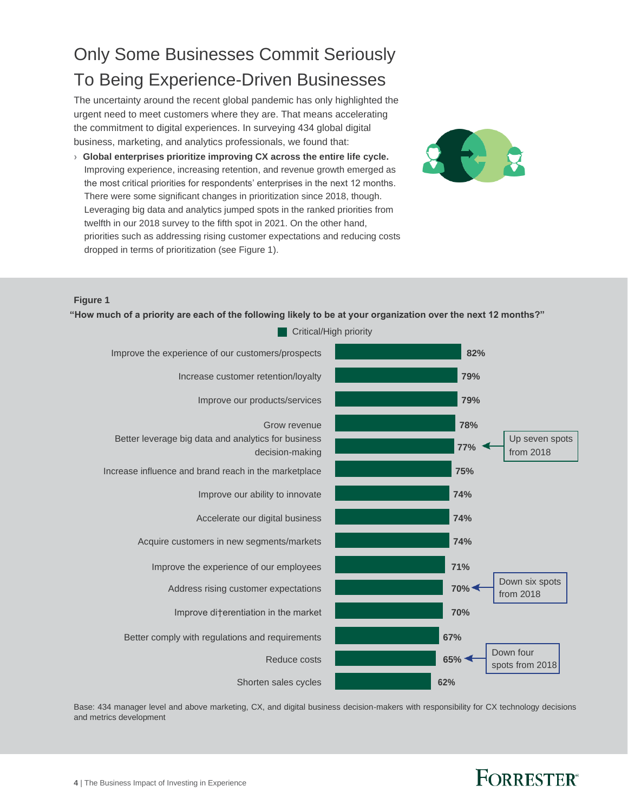## Only Some Businesses Commit Seriously To Being Experience-Driven Businesses

The uncertainty around the recent global pandemic has only highlighted the urgent need to meet customers where they are. That means accelerating the commitment to digital experiences. In surveying 434 global digital business, marketing, and analytics professionals, we found that:

**› Global enterprises prioritize improving CX across the entire life cycle.**  Improving experience, increasing retention, and revenue growth emerged as the most critical priorities for respondents' enterprises in the next 12 months. There were some significant changes in prioritization since 2018, though. Leveraging big data and analytics jumped spots in the ranked priorities from twelfth in our 2018 survey to the fifth spot in 2021. On the other hand, priorities such as addressing rising customer expectations and reducing costs dropped in terms of prioritization (see Figure 1).

![](_page_3_Picture_3.jpeg)

### **Figure 1**

**"How much of a priority are each of the following likely to be at your organization over the next 12 months?"**

![](_page_3_Figure_6.jpeg)

Base: 434 manager level and above marketing, CX, and digital business decision-makers with responsibility for CX technology decisions and metrics development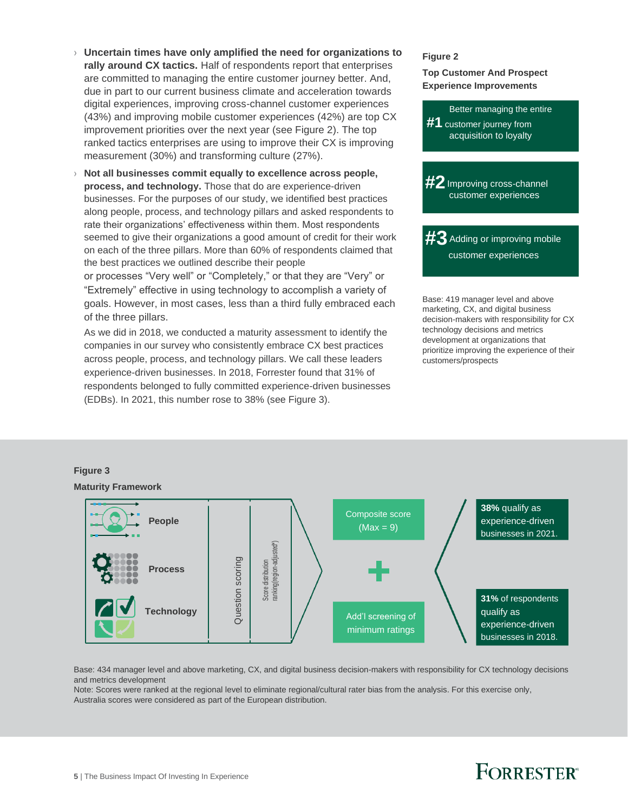- › **Uncertain times have only amplified the need for organizations to rally around CX tactics.** Half of respondents report that enterprises are committed to managing the entire customer journey better. And, due in part to our current business climate and acceleration towards digital experiences, improving cross-channel customer experiences (43%) and improving mobile customer experiences (42%) are top CX improvement priorities over the next year (see Figure 2). The top ranked tactics enterprises are using to improve their CX is improving measurement (30%) and transforming culture (27%).
- › **Not all businesses commit equally to excellence across people, process, and technology.** Those that do are experience-driven businesses. For the purposes of our study, we identified best practices along people, process, and technology pillars and asked respondents to rate their organizations' effectiveness within them. Most respondents seemed to give their organizations a good amount of credit for their work on each of the three pillars. More than 60% of respondents claimed that the best practices we outlined describe their people

or processes "Very well" or "Completely," or that they are "Very" or "Extremely" effective in using technology to accomplish a variety of goals. However, in most cases, less than a third fully embraced each of the three pillars.

As we did in 2018, we conducted a maturity assessment to identify the companies in our survey who consistently embrace CX best practices across people, process, and technology pillars. We call these leaders experience-driven businesses. In 2018, Forrester found that 31% of respondents belonged to fully committed experience-driven businesses (EDBs). In 2021, this number rose to 38% (see Figure 3).

#### **Figure 2**

### **Top Customer And Prospect Experience Improvements**

![](_page_4_Picture_6.jpeg)

Base: 419 manager level and above marketing, CX, and digital business decision-makers with responsibility for CX technology decisions and metrics development at organizations that prioritize improving the experience of their customers/prospects

![](_page_4_Figure_8.jpeg)

## **Figure 3**

Base: 434 manager level and above marketing, CX, and digital business decision-makers with responsibility for CX technology decisions and metrics development

Note: Scores were ranked at the regional level to eliminate regional/cultural rater bias from the analysis. For this exercise only, Australia scores were considered as part of the European distribution.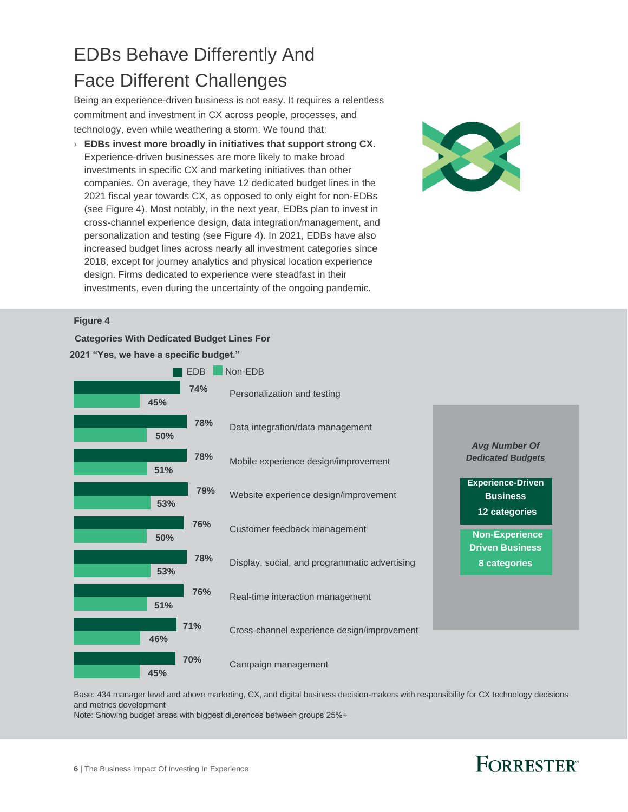## EDBs Behave Differently And Face Different Challenges

Being an experience-driven business is not easy. It requires a relentless commitment and investment in CX across people, processes, and technology, even while weathering a storm. We found that:

› **EDBs invest more broadly in initiatives that support strong CX.**  Experience-driven businesses are more likely to make broad investments in specific CX and marketing initiatives than other companies. On average, they have 12 dedicated budget lines in the 2021 fiscal year towards CX, as opposed to only eight for non-EDBs (see Figure 4). Most notably, in the next year, EDBs plan to invest in cross-channel experience design, data integration/management, and personalization and testing (see Figure 4). In 2021, EDBs have also increased budget lines across nearly all investment categories since 2018, except for journey analytics and physical location experience design. Firms dedicated to experience were steadfast in their investments, even during the uncertainty of the ongoing pandemic.

![](_page_5_Picture_3.jpeg)

### **Figure 4**

**Categories With Dedicated Budget Lines For** 

**2021 "Yes, we have a specific budget." EDB** Non-EDB **74%** Personalization and testing **45% 78%** Data integration/data management **50% 78%** Mobile experience design/improvement **51% 79%** Website experience design/improvement **53% 76%** Customer feedback management **50% 78%** Display, social, and programmatic advertising **53% 76%** Real-time interaction management **51% 71%** Cross-channel experience design/improvement **46% 70%** Campaign management **45%** *Avg Number Of Dedicated Budgets* **Experience-Driven Business 12 categories Non-Experience Driven Business 8 categories**

Base: 434 manager level and above marketing, CX, and digital business decision-makers with responsibility for CX technology decisions and metrics development

Note: Showing budget areas with biggest di"erences between groups 25%+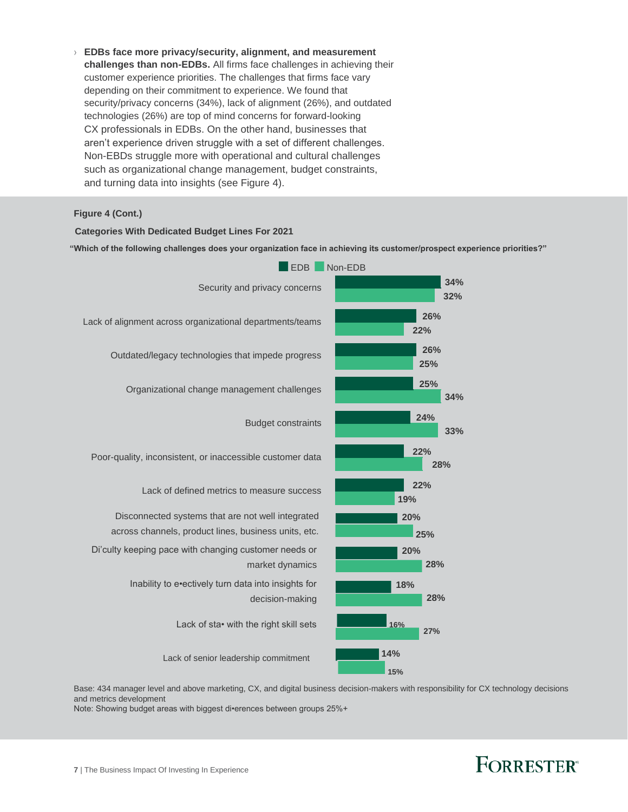› **EDBs face more privacy/security, alignment, and measurement challenges than non-EDBs.** All firms face challenges in achieving their customer experience priorities. The challenges that firms face vary depending on their commitment to experience. We found that security/privacy concerns (34%), lack of alignment (26%), and outdated technologies (26%) are top of mind concerns for forward-looking CX professionals in EDBs. On the other hand, businesses that aren't experience driven struggle with a set of different challenges. Non-EBDs struggle more with operational and cultural challenges such as organizational change management, budget constraints, and turning data into insights (see Figure 4).

**Figure 4 (Cont.)**

### **Categories With Dedicated Budget Lines For 2021**

**"Which of the following challenges does your organization face in achieving its customer/prospect experience priorities?"**

![](_page_6_Figure_4.jpeg)

Base: 434 manager level and above marketing, CX, and digital business decision-makers with responsibility for CX technology decisions and metrics development

Note: Showing budget areas with biggest di•erences between groups 25%+

![](_page_6_Picture_7.jpeg)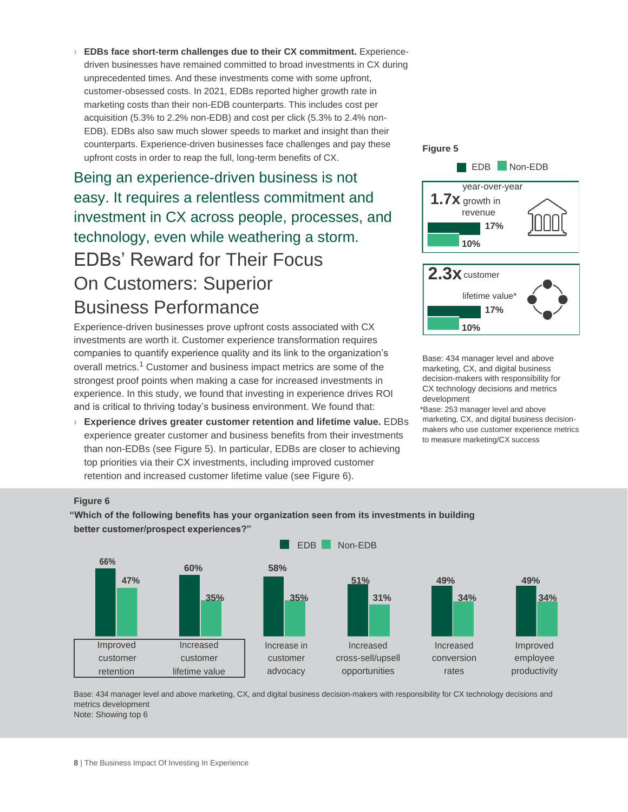› **EDBs face short-term challenges due to their CX commitment.** Experiencedriven businesses have remained committed to broad investments in CX during unprecedented times. And these investments come with some upfront, customer-obsessed costs. In 2021, EDBs reported higher growth rate in marketing costs than their non-EDB counterparts. This includes cost per acquisition (5.3% to 2.2% non-EDB) and cost per click (5.3% to 2.4% non-EDB). EDBs also saw much slower speeds to market and insight than their counterparts. Experience-driven businesses face challenges and pay these upfront costs in order to reap the full, long-term benefits of CX.

Being an experience-driven business is not easy. It requires a relentless commitment and investment in CX across people, processes, and technology, even while weathering a storm. EDBs' Reward for Their Focus On Customers: Superior Business Performance

Experience-driven businesses prove upfront costs associated with CX investments are worth it. Customer experience transformation requires companies to quantify experience quality and its link to the organization's overall metrics.<sup>1</sup> Customer and business impact metrics are some of the strongest proof points when making a case for increased investments in experience. In this study, we found that investing in experience drives ROI and is critical to thriving today's business environment. We found that:

› **Experience drives greater customer retention and lifetime value.** EDBs experience greater customer and business benefits from their investments than non-EDBs (see Figure 5). In particular, EDBs are closer to achieving top priorities via their CX investments, including improved customer retention and increased customer lifetime value (see Figure 6).

![](_page_7_Figure_4.jpeg)

Base: 434 manager level and above marketing, CX, and digital business decision-makers with responsibility for CX technology decisions and metrics development

\*Base: 253 manager level and above marketing, CX, and digital business decisionmakers who use customer experience metrics to measure marketing/CX success

### **Figure 6**

**"Which of the following benefits has your organization seen from its investments in building better customer/prospect experiences?"**

![](_page_7_Figure_9.jpeg)

Base: 434 manager level and above marketing, CX, and digital business decision-makers with responsibility for CX technology decisions and metrics development Note: Showing top 6

**8** | The Business Impact Of Investing In Experience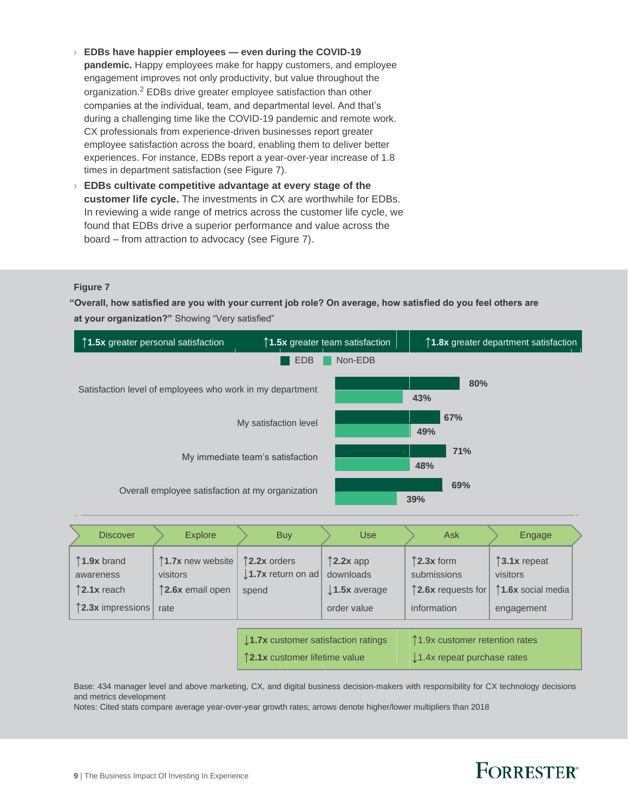- › **EDBs have happier employees — even during the COVID-19 pandemic.** Happy employees make for happy customers, and employee engagement improves not only productivity, but value throughout the organization.<sup>2</sup> EDBs drive greater employee satisfaction than other companies at the individual, team, and departmental level. And that's during a challenging time like the COVID-19 pandemic and remote work. CX professionals from experience-driven businesses report greater employee satisfaction across the board, enabling them to deliver better experiences. For instance, EDBs report a year-over-year increase of 1.8 times in department satisfaction (see Figure 7).
- › **EDBs cultivate competitive advantage at every stage of the customer life cycle.** The investments in CX are worthwhile for EDBs. In reviewing a wide range of metrics across the customer life cycle, we found that EDBs drive a superior performance and value across the board – from attraction to advocacy (see Figure 7).

### **Figure 7**

**"Overall, how satisfied are you with your current job role? On average, how satisfied do you feel others are at your organization?"** Showing "Very satisfied"

![](_page_8_Figure_4.jpeg)

| <b>Discover</b>                                                                  | <b>Explore</b>                                            | <b>Buy</b>                                              | <b>Use</b>                                                                   | <b>Ask</b>                                                                         | Engage                                                      |  |
|----------------------------------------------------------------------------------|-----------------------------------------------------------|---------------------------------------------------------|------------------------------------------------------------------------------|------------------------------------------------------------------------------------|-------------------------------------------------------------|--|
| $\uparrow$ 1.9x brand<br>awareness<br>↑2.1x reach<br>$\uparrow$ 2.3x impressions | ↑1.7x new website<br>visitors<br>12.6x email open<br>rate | ↑2.2x orders<br>$\downarrow$ 1.7x return on ad<br>spend | $\uparrow$ 2.2x app<br>downloads<br>$\downarrow$ 1.5x average<br>order value | $\uparrow$ 2.3x form<br>submissions<br>$\uparrow$ 2.6x requests for<br>information | ↑3.1x repeat<br>visitors<br>1.6x social media<br>engagement |  |
|                                                                                  |                                                           | $\downarrow$ 1.7x customer satisfaction ratings         |                                                                              | ↑1.9x customer retention rates                                                     |                                                             |  |

**↑2.1x** customer lifetime value **↓**1.4x repeat purchase rates

Base: 434 manager level and above marketing, CX, and digital business decision-makers with responsibility for CX technology decisions and metrics development

Notes: Cited stats compare average year-over-year growth rates; arrows denote higher/lower multipliers than 2018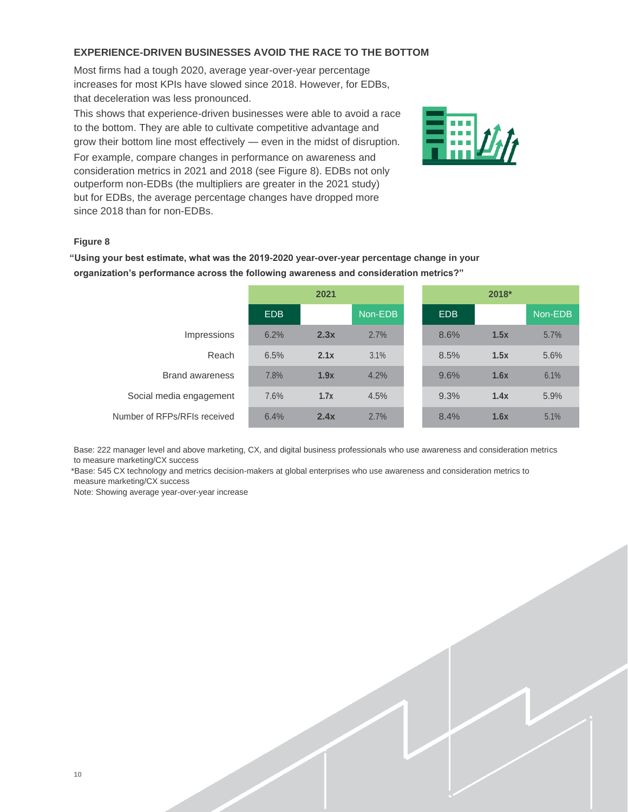### **EXPERIENCE-DRIVEN BUSINESSES AVOID THE RACE TO THE BOTTOM**

Most firms had a tough 2020, average year-over-year percentage increases for most KPIs have slowed since 2018. However, for EDBs, that deceleration was less pronounced.

This shows that experience-driven businesses were able to avoid a race to the bottom. They are able to cultivate competitive advantage and grow their bottom line most effectively — even in the midst of disruption. For example, compare changes in performance on awareness and consideration metrics in 2021 and 2018 (see Figure 8). EDBs not only outperform non-EDBs (the multipliers are greater in the 2021 study) but for EDBs, the average percentage changes have dropped more since 2018 than for non-EDBs.

![](_page_9_Picture_3.jpeg)

### **Figure 8**

**"Using your best estimate, what was the 2019-2020 year-over-year percentage change in your organization's performance across the following awareness and consideration metrics?"**

|                              | 2021 |      |         | 2018* |      |         |
|------------------------------|------|------|---------|-------|------|---------|
|                              | EDB  |      | Non-EDB | EDB   |      | Non-EDB |
| Impressions                  | 6.2% | 2.3x | 2.7%    | 8.6%  | 1.5x | 5.7%    |
| Reach                        | 6.5% | 2.1x | 3.1%    | 8.5%  | 1.5x | 5.6%    |
| <b>Brand awareness</b>       | 7.8% | 1.9x | 4.2%    | 9.6%  | 1.6x | 6.1%    |
| Social media engagement      | 7.6% | 1.7x | 4.5%    | 9.3%  | 1.4x | 5.9%    |
| Number of RFPs/RFIs received | 6.4% | 2.4x | 2.7%    | 8.4%  | 1.6x | 5.1%    |

Base: 222 manager level and above marketing, CX, and digital business professionals who use awareness and consideration metrics to measure marketing/CX success

\*Base: 545 CX technology and metrics decision-makers at global enterprises who use awareness and consideration metrics to measure marketing/CX success

Note: Showing average year-over-year increase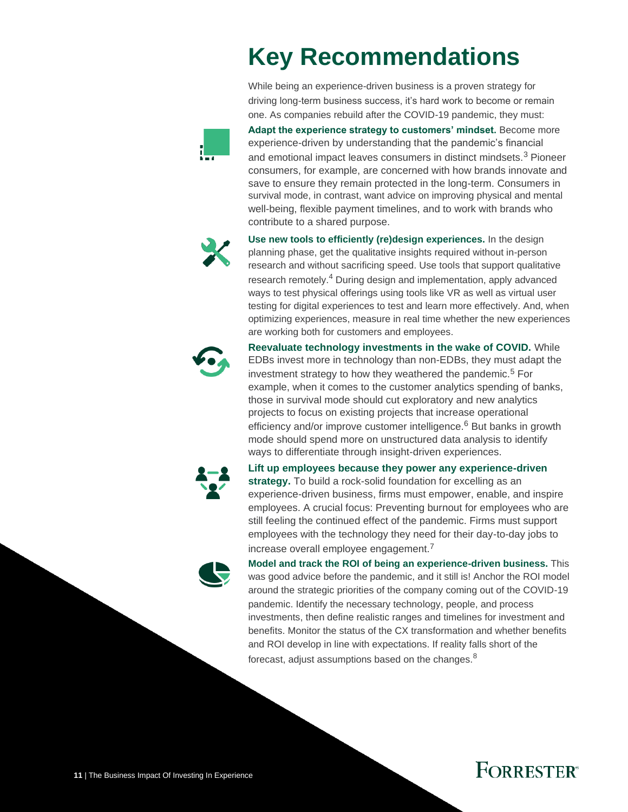# **Key Recommendations**

While being an experience-driven business is a proven strategy for driving long-term business success, it's hard work to become or remain one. As companies rebuild after the COVID-19 pandemic, they must:

![](_page_10_Picture_2.jpeg)

**Adapt the experience strategy to customers' mindset.** Become more experience-driven by understanding that the pandemic's financial and emotional impact leaves consumers in distinct mindsets.<sup>3</sup> Pioneer consumers, for example, are concerned with how brands innovate and save to ensure they remain protected in the long-term. Consumers in survival mode, in contrast, want advice on improving physical and mental well-being, flexible payment timelines, and to work with brands who contribute to a shared purpose.

![](_page_10_Picture_4.jpeg)

**Use new tools to efficiently (re)design experiences.** In the design planning phase, get the qualitative insights required without in-person research and without sacrificing speed. Use tools that support qualitative research remotely.<sup>4</sup> During design and implementation, apply advanced ways to test physical offerings using tools like VR as well as virtual user testing for digital experiences to test and learn more effectively. And, when optimizing experiences, measure in real time whether the new experiences are working both for customers and employees.

![](_page_10_Picture_6.jpeg)

**Reevaluate technology investments in the wake of COVID.** While EDBs invest more in technology than non-EDBs, they must adapt the investment strategy to how they weathered the pandemic.<sup>5</sup> For example, when it comes to the customer analytics spending of banks, those in survival mode should cut exploratory and new analytics projects to focus on existing projects that increase operational efficiency and/or improve customer intelligence.<sup>6</sup> But banks in growth mode should spend more on unstructured data analysis to identify ways to differentiate through insight-driven experiences.

![](_page_10_Picture_8.jpeg)

**Lift up employees because they power any experience-driven strategy.** To build a rock-solid foundation for excelling as an experience-driven business, firms must empower, enable, and inspire employees. A crucial focus: Preventing burnout for employees who are still feeling the continued effect of the pandemic. Firms must support employees with the technology they need for their day-to-day jobs to increase overall employee engagement.<sup>7</sup>

![](_page_10_Picture_10.jpeg)

**Model and track the ROI of being an experience-driven business.** This was good advice before the pandemic, and it still is! Anchor the ROI model around the strategic priorities of the company coming out of the COVID-19 pandemic. Identify the necessary technology, people, and process investments, then define realistic ranges and timelines for investment and benefits. Monitor the status of the CX transformation and whether benefits and ROI develop in line with expectations. If reality falls short of the forecast, adjust assumptions based on the changes.<sup>8</sup>

![](_page_10_Picture_12.jpeg)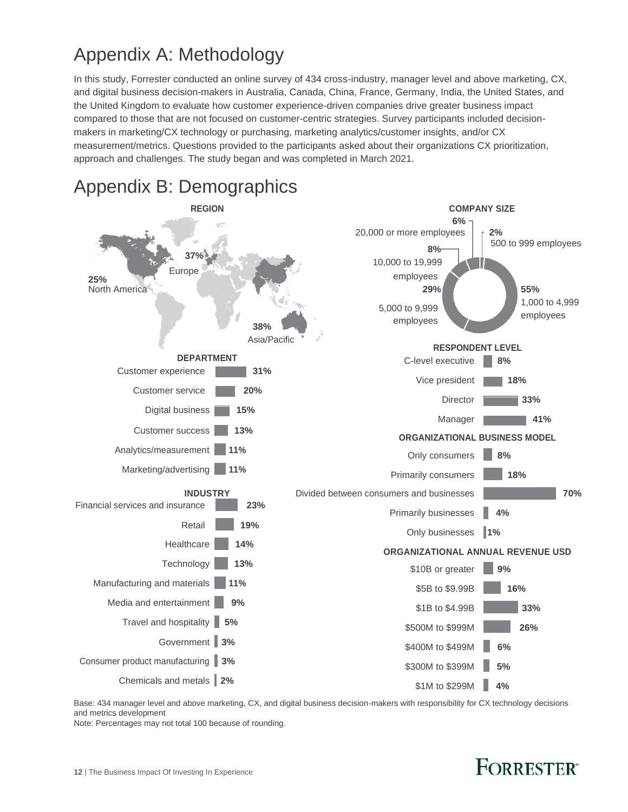## Appendix A: Methodology

In this study, Forrester conducted an online survey of 434 cross-industry, manager level and above marketing, CX, and digital business decision-makers in Australia, Canada, China, France, Germany, India, the United States, and the United Kingdom to evaluate how customer experience-driven companies drive greater business impact compared to those that are not focused on customer-centric strategies. Survey participants included decisionmakers in marketing/CX technology or purchasing, marketing analytics/customer insights, and/or CX measurement/metrics. Questions provided to the participants asked about their organizations CX prioritization, approach and challenges. The study began and was completed in March 2021.

![](_page_11_Figure_2.jpeg)

Base: 434 manager level and above marketing, CX, and digital business decision-makers with responsibility for CX technology decisions and metrics development

Note: Percentages may not total 100 because of rounding.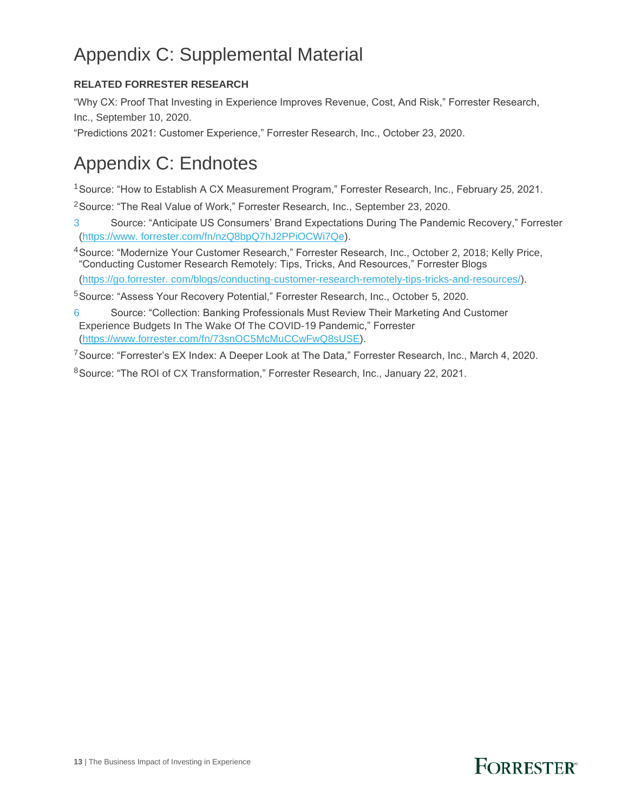## Appendix C: Supplemental Material

### **RELATED FORRESTER RESEARCH**

"Why CX: Proof That Investing in Experience Improves Revenue, Cost, And Risk," Forrester Research, Inc., September 10, 2020.

"Predictions 2021: Customer Experience," Forrester Research, Inc., October 23, 2020.

### Appendix C: Endnotes

<sup>1</sup>Source: "How to Establish A CX Measurement Program," Forrester Research, Inc., February 25, 2021.

<sup>2</sup> Source: "The Real Value of Work," Forrester Research, Inc., September 23, 2020.

3 Source: "Anticipate US Consumers' Brand Expectations During The Pandemic Recovery," Forrester [\(https://www.](https://www.forrester.com/fn/nzQ8bpQ7hJ2PPiOCWi7Qe) [forrester.com/fn/nzQ8bpQ7hJ2PPiOCWi7Qe\)](https://www.forrester.com/fn/nzQ8bpQ7hJ2PPiOCWi7Qe).

<sup>4</sup>Source: "Modernize Your Customer Research," Forrester Research, Inc., October 2, 2018; Kelly Price, "Conducting Customer Research Remotely: Tips, Tricks, And Resources," Forrester Blogs

[\(https://go.forrester.](https://go.forrester.com/blogs/conducting-customer-research-remotely-tips-tricks-and-resources/) [com/blogs/conducting-customer-research-remotely-tips-tricks-and-resources/\)](https://go.forrester.com/blogs/conducting-customer-research-remotely-tips-tricks-and-resources/).

<sup>5</sup>Source: "Assess Your Recovery Potential," Forrester Research, Inc., October 5, 2020.

6 Source: "Collection: Banking Professionals Must Review Their Marketing And Customer Experience Budgets In The Wake Of The COVID-19 Pandemic," Forrester [\(https://www.forrester.com/fn/73snOC5McMuCCwFwQ8sUSE\)](https://www.forrester.com/fn/73snOC5McMuCCwFwQ8sUSE).

<sup>7</sup> Source: "Forrester's EX Index: A Deeper Look at The Data," Forrester Research, Inc., March 4, 2020.

<sup>8</sup>Source: "The ROI of CX Transformation," Forrester Research, Inc., January 22, 2021.

![](_page_12_Picture_15.jpeg)